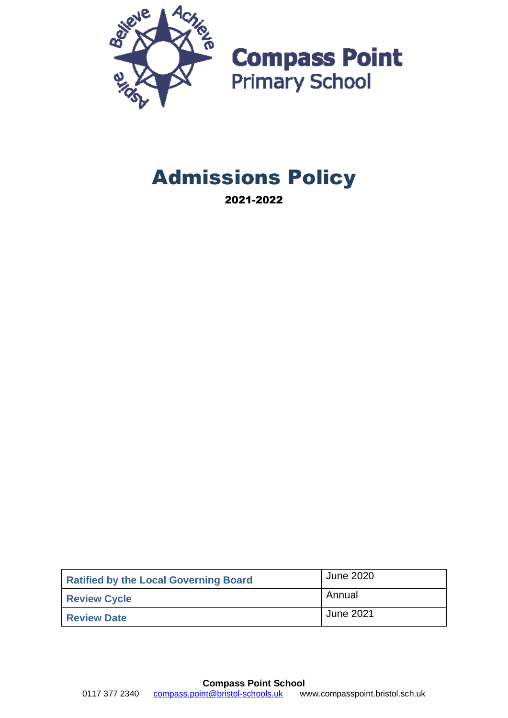

**Compass Point**<br>Primary School

# Admissions Policy

2021-2022

| <b>Ratified by the Local Governing Board</b> | June 2020 |
|----------------------------------------------|-----------|
| <b>Review Cycle</b>                          | Annual    |
| <b>Review Date</b>                           | June 2021 |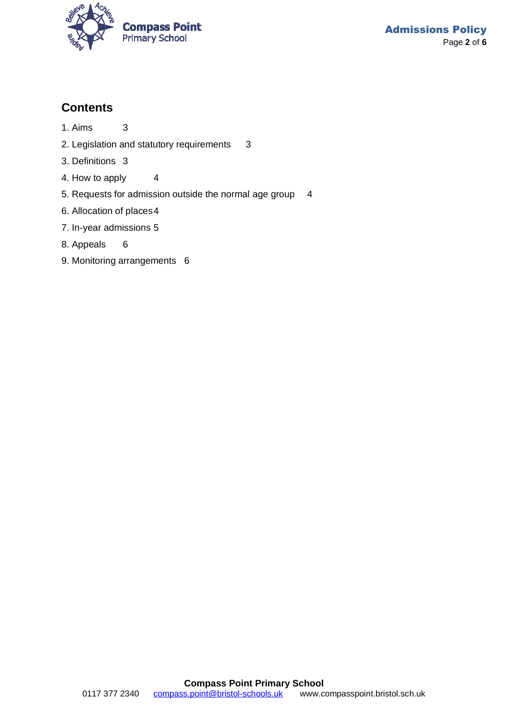

#### **Contents**

- 1. Aims 3
- 2. Legislation and statutory requirements 3
- 3. Definitions 3
- 4. How to apply 4
- 5. Requests for admission outside the normal age group 4
- 6. Allocation of places4
- 7. In-year admissions 5
- 8. Appeals 6
- 9. Monitoring arrangements 6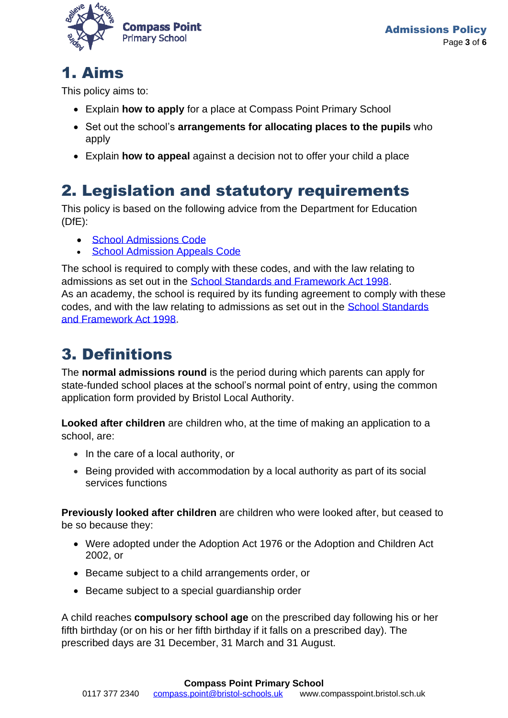

### 1. Aims

This policy aims to:

- Explain **how to apply** for a place at Compass Point Primary School
- Set out the school's **arrangements for allocating places to the pupils** who apply
- Explain **how to appeal** against a decision not to offer your child a place

## 2. Legislation and statutory requirements

This policy is based on the following advice from the Department for Education (DfE):

- [School Admissions Code](https://www.gov.uk/government/publications/school-admissions-code--2)
- [School Admission Appeals Code](https://www.gov.uk/government/publications/school-admissions-appeals-code)

The school is required to comply with these codes, and with the law relating to admissions as set out in the [School Standards and Framework Act 1998.](http://www.legislation.gov.uk/ukpga/1998/31/contents) As an academy, the school is required by its funding agreement to comply with these codes, and with the law relating to admissions as set out in the [School Standards](http://www.legislation.gov.uk/ukpga/1998/31/contents)  [and Framework Act 1998.](http://www.legislation.gov.uk/ukpga/1998/31/contents)

## 3. Definitions

The **normal admissions round** is the period during which parents can apply for state-funded school places at the school's normal point of entry, using the common application form provided by Bristol Local Authority.

**Looked after children** are children who, at the time of making an application to a school, are:

- In the care of a local authority, or
- Being provided with accommodation by a local authority as part of its social services functions

**Previously looked after children** are children who were looked after, but ceased to be so because they:

- Were adopted under the Adoption Act 1976 or the Adoption and Children Act 2002, or
- Became subject to a child arrangements order, or
- Became subject to a special guardianship order

A child reaches **compulsory school age** on the prescribed day following his or her fifth birthday (or on his or her fifth birthday if it falls on a prescribed day). The prescribed days are 31 December, 31 March and 31 August.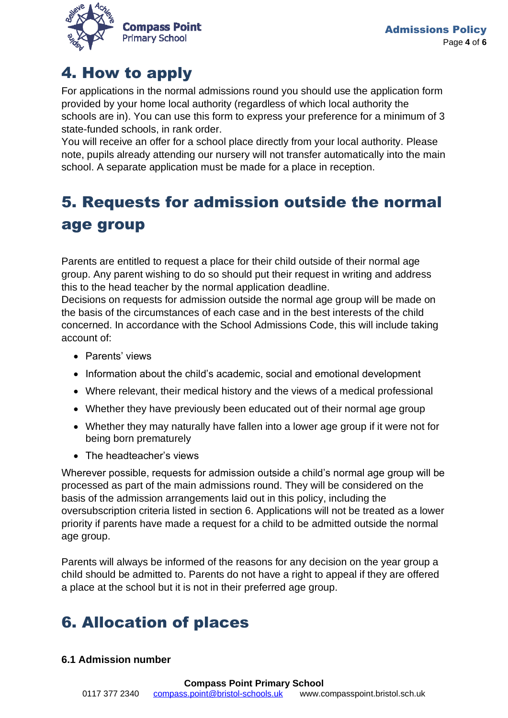

### 4. How to apply

For applications in the normal admissions round you should use the application form provided by your home local authority (regardless of which local authority the schools are in). You can use this form to express your preference for a minimum of 3 state-funded schools, in rank order.

You will receive an offer for a school place directly from your local authority. Please note, pupils already attending our nursery will not transfer automatically into the main school. A separate application must be made for a place in reception.

## 5. Requests for admission outside the normal age group

Parents are entitled to request a place for their child outside of their normal age group. Any parent wishing to do so should put their request in writing and address this to the head teacher by the normal application deadline.

Decisions on requests for admission outside the normal age group will be made on the basis of the circumstances of each case and in the best interests of the child concerned. In accordance with the School Admissions Code, this will include taking account of:

- Parents' views
- Information about the child's academic, social and emotional development
- Where relevant, their medical history and the views of a medical professional
- Whether they have previously been educated out of their normal age group
- Whether they may naturally have fallen into a lower age group if it were not for being born prematurely
- The headteacher's views

Wherever possible, requests for admission outside a child's normal age group will be processed as part of the main admissions round. They will be considered on the basis of the admission arrangements laid out in this policy, including the oversubscription criteria listed in section 6. Applications will not be treated as a lower priority if parents have made a request for a child to be admitted outside the normal age group.

Parents will always be informed of the reasons for any decision on the year group a child should be admitted to. Parents do not have a right to appeal if they are offered a place at the school but it is not in their preferred age group.

## 6. Allocation of places

#### **6.1 Admission number**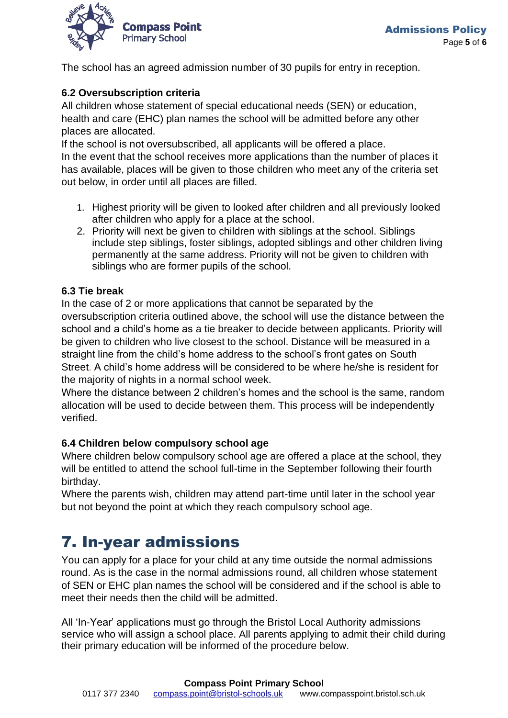

The school has an agreed admission number of 30 pupils for entry in reception.

#### **6.2 Oversubscription criteria**

All children whose statement of special educational needs (SEN) or education, health and care (EHC) plan names the school will be admitted before any other places are allocated.

If the school is not oversubscribed, all applicants will be offered a place. In the event that the school receives more applications than the number of places it has available, places will be given to those children who meet any of the criteria set out below, in order until all places are filled.

- 1. Highest priority will be given to looked after children and all previously looked after children who apply for a place at the school.
- 2. Priority will next be given to children with siblings at the school. Siblings include step siblings, foster siblings, adopted siblings and other children living permanently at the same address. Priority will not be given to children with siblings who are former pupils of the school.

#### **6.3 Tie break**

In the case of 2 or more applications that cannot be separated by the oversubscription criteria outlined above, the school will use the distance between the school and a child's home as a tie breaker to decide between applicants. Priority will be given to children who live closest to the school. Distance will be measured in a straight line from the child's home address to the school's front gates on South Street. A child's home address will be considered to be where he/she is resident for the majority of nights in a normal school week.

Where the distance between 2 children's homes and the school is the same, random allocation will be used to decide between them. This process will be independently verified.

#### **6.4 Children below compulsory school age**

Where children below compulsory school age are offered a place at the school, they will be entitled to attend the school full-time in the September following their fourth birthday.

Where the parents wish, children may attend part-time until later in the school year but not beyond the point at which they reach compulsory school age.

### 7. In-year admissions

You can apply for a place for your child at any time outside the normal admissions round. As is the case in the normal admissions round, all children whose statement of SEN or EHC plan names the school will be considered and if the school is able to meet their needs then the child will be admitted.

All 'In-Year' applications must go through the Bristol Local Authority admissions service who will assign a school place. All parents applying to admit their child during their primary education will be informed of the procedure below.

#### **Compass Point Primary School**